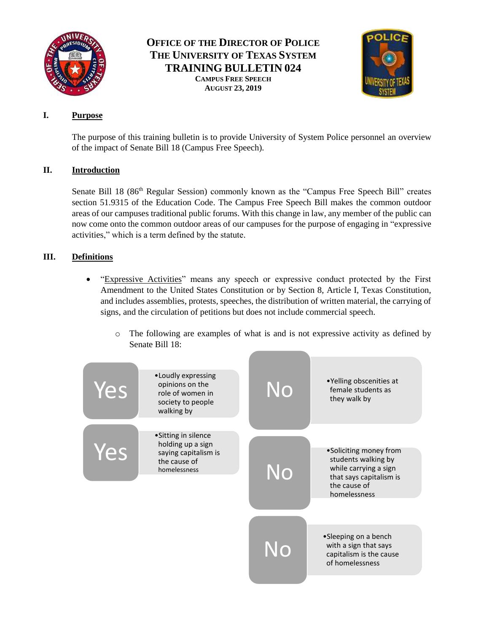

# **OFFICE OF THE DIRECTOR OF POLICE THE UNIVERSITY OF TEXAS SYSTEM TRAINING BULLETIN 024 CAMPUS FREE SPEECH AUGUST 23, 2019**



### **I. Purpose**

The purpose of this training bulletin is to provide University of System Police personnel an overview of the impact of Senate Bill 18 (Campus Free Speech).

## **II. Introduction**

Senate Bill 18 (86<sup>th</sup> Regular Session) commonly known as the "Campus Free Speech Bill" creates section 51.9315 of the Education Code. The Campus Free Speech Bill makes the common outdoor areas of our campuses traditional public forums. With this change in law, any member of the public can now come onto the common outdoor areas of our campuses for the purpose of engaging in "expressive activities," which is a term defined by the statute.

# **III. Definitions**

- "Expressive Activities" means any speech or expressive conduct protected by the First Amendment to the United States Constitution or by Section 8, Article I, Texas Constitution, and includes assemblies, protests, speeches, the distribution of written material, the carrying of signs, and the circulation of petitions but does not include commercial speech.
	- o The following are examples of what is and is not expressive activity as defined by Senate Bill 18: